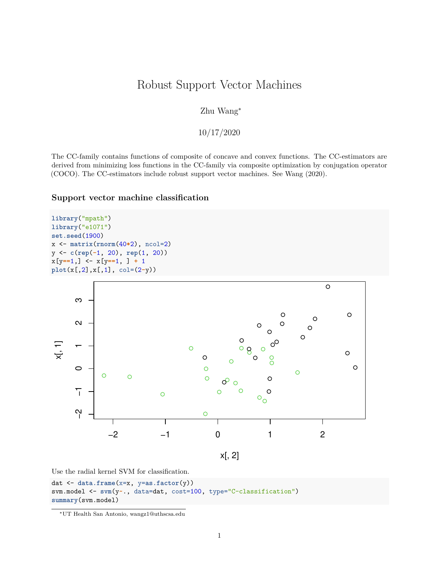### Robust Support Vector Machines

Zhu Wang<sup>∗</sup>

10/17/2020

The CC-family contains functions of composite of concave and convex functions. The CC-estimators are derived from minimizing loss functions in the CC-family via composite optimization by conjugation operator (COCO). The CC-estimators include robust support vector machines. See Wang [\(2020\)](#page-7-0).

#### **Support vector machine classification**

```
library("mpath")
library("e1071")
set.seed(1900)
x <- matrix(rnorm(40*2), ncol=2)
y <- c(rep(-1, 20), rep(1, 20))
x[y==1,] <- x[y==1, ] + 1
plot(x[,2],x[,1], col=(2-y))
```


Use the radial kernel SVM for classification.

```
dat <- data.frame(x=x, y=as.factor(y))
svm.model <- svm(y~., data=dat, cost=100, type="C-classification")
summary(svm.model)
```
<sup>∗</sup>UT Health San Antonio, [wangz1@uthscsa.edu](mailto:wangz1@uthscsa.edu)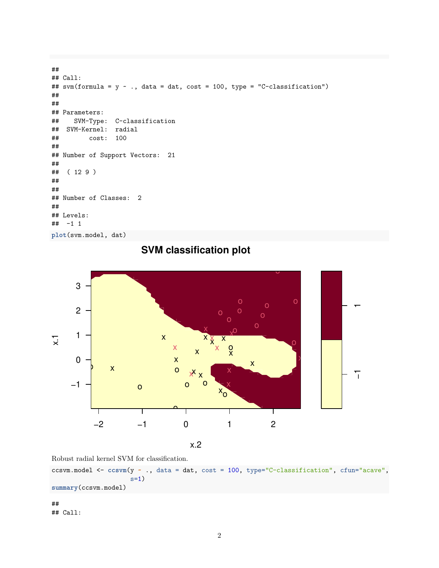```
##
## Call:
## svm(formula = y \sim ., data = dat, cost = 100, type = "C-classification")
##
##
## Parameters:
## SVM-Type: C-classification
## SVM-Kernel: radial
## cost: 100
##
## Number of Support Vectors: 21
##
## ( 12 9 )
##
##
## Number of Classes: 2
##
## Levels:
## -1 1
plot(svm.model, dat)
```


## **SVM classification plot**

x.2

Robust radial kernel SVM for classification.

ccsvm.model <- **ccsvm**(y **~** ., data = dat, cost = 100, type="C-classification", cfun="acave",  $s=1)$ **summary**(ccsvm.model)

## ## Call: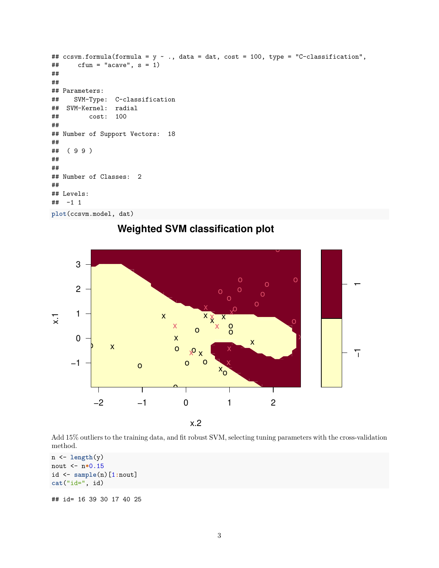```
## ccsvm.formula(formula = y ~ ., data = dat, cost = 100, type = "C-classification",
\# cfun = "acave", s = 1)
##
##
## Parameters:
## SVM-Type: C-classification
## SVM-Kernel: radial
## cost: 100
##
## Number of Support Vectors: 18
##
## ( 9 9 )
##
##
## Number of Classes: 2
##
## Levels:
## -1 1
plot(ccsvm.model, dat)
```


**Weighted SVM classification plot**

Add 15% outliers to the training data, and fit robust SVM, selecting tuning parameters with the cross-validation method.

```
n <- length(y)
nout <- n*0.15
id <- sample(n)[1:nout]
cat("id=", id)
```
## id= 16 39 30 17 40 25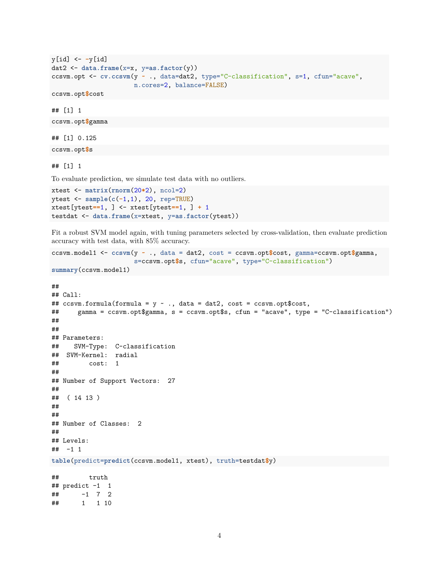```
y[id] <- -y[id]
dat2 <- data.frame(x=x, y=as.factor(y))
ccsvm.opt <- cv.ccsvm(y ~ ., data=dat2, type="C-classification", s=1, cfun="acave",
                      n.cores=2, balance=FALSE)
ccsvm.opt$cost
```
## [1] 1

ccsvm.opt**\$**gamma

## [1] 0.125

ccsvm.opt**\$**s

## [1] 1

To evaluate prediction, we simulate test data with no outliers.

```
xtest <- matrix(rnorm(20*2), ncol=2)
ytest <- sample(c(-1,1), 20, rep=TRUE)
xtest[ytest==1, ] <- xtest[ytest==1, ] + 1
testdat <- data.frame(x=xtest, y=as.factor(ytest))
```
Fit a robust SVM model again, with tuning parameters selected by cross-validation, then evaluate prediction accuracy with test data, with 85% accuracy.

```
ccsvm.model1 <- ccsvm(y ~ ., data = dat2, cost = ccsvm.opt$cost, gamma=ccsvm.opt$gamma,
                      s=ccsvm.opt$s, cfun="acave", type="C-classification")
```

```
summary(ccsvm.model1)
```

```
##
## Call:
## ccsvm.formula(formula = y \sim ., data = dat2, cost = ccsvm.opt$cost,
## gamma = ccsvm.opt$gamma, s = ccsvm.opt$s, cfun = "acave", type = "C-classification")
##
##
## Parameters:
## SVM-Type: C-classification
## SVM-Kernel: radial
## cost: 1
##
## Number of Support Vectors: 27
##
## ( 14 13 )
##
##
## Number of Classes: 2
##
## Levels:
## -1 1
table(predict=predict(ccsvm.model1, xtest), truth=testdat$y)
## truth
## predict -1 1
## -1 7 2
## 1 1 10
```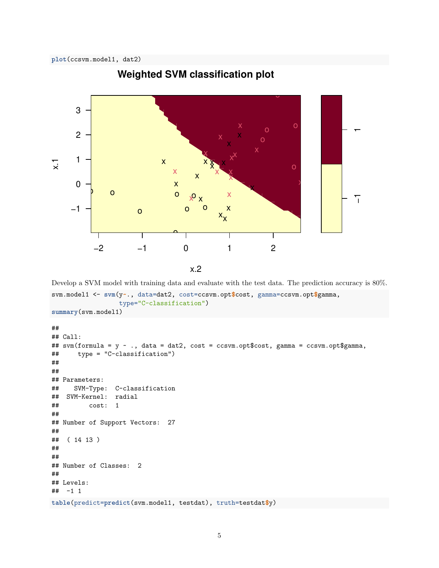

# **Weighted SVM classification plot**

Develop a SVM model with training data and evaluate with the test data. The prediction accuracy is 80%.

```
svm.model1 <- svm(y~., data=dat2, cost=ccsvm.opt$cost, gamma=ccsvm.opt$gamma,
                  type="C-classification")
summary(svm.model1)
```

```
##
## Call:
## svm(formula = y ~ ., data = dat2, cost = ccsvm.opt$cost, gamma = ccsvm.opt$gamma,
## type = "C-classification")
##
##
## Parameters:
## SVM-Type: C-classification
## SVM-Kernel: radial
## cost: 1
##
## Number of Support Vectors: 27
##
## ( 14 13 )
##
##
## Number of Classes: 2
##
## Levels:
## -1 1
table(predict=predict(svm.model1, testdat), truth=testdat$y)
```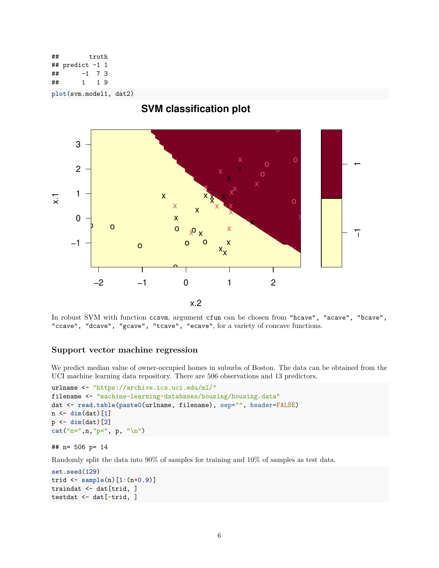## truth ## predict -1 1 ## -1 7 3 ## 1 1 9

**plot**(svm.model1, dat2)



In robust SVM with function ccsvm, argument cfun can be chosen from "hcave", "acave", "bcave", "ccave", "dcave", "gcave", "tcave", "ecave", for a variety of concave functions.

#### **Support vector machine regression**

We predict median value of owner-occupied homes in suburbs of Boston. The data can be obtained from the UCI machine learning data repository. There are 506 observations and 13 predictors.

```
urlname <- "https://archive.ics.uci.edu/ml/"
filename <- "machine-learning-databases/housing/housing.data"
dat <- read.table(paste0(urlname, filename), sep="", header=FALSE)
n <- dim(dat)[1]
p <- dim(dat)[2]
cat("n=",n,"p=", p, "\n")
```
#### ## n= 506 p= 14

Randomly split the data into 90% of samples for training and 10% of samples as test data.

```
set.seed(129)
trid <- sample(n)[1:(n*0.9)]
traindat <- dat[trid, ]
testdat <- dat[-trid, ]
```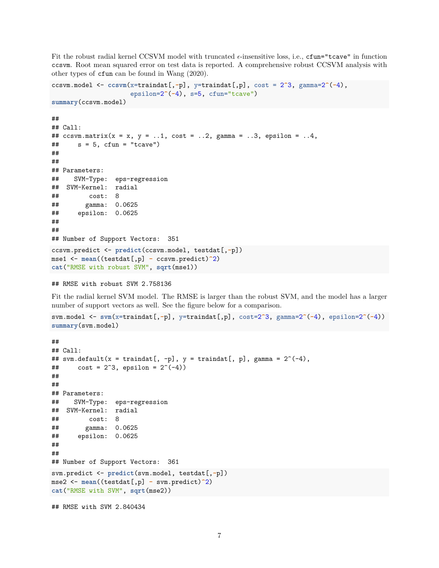Fit the robust radial kernel CCSVM model with truncated  $\epsilon$ -insensitive loss, i.e., cfun="tcave" in function ccsvm. Root mean squared error on test data is reported. A comprehensive robust CCSVM analysis with other types of cfun can be found in Wang [\(2020\)](#page-7-0).

```
ccsvm.model <- ccsvm(x=traindat[,-p], y=traindat[,p], cost = 2^3, gamma=2^(-4),
                    epsilon=2^(-4), s=5, cfun="tcave")
summary(ccsvm.model)
##
## Call:
## ccsvm_matrix(x = x, y = ..1, cost = ..2, gamma = ..3, epsilon = ..4,\# s = 5, cfun = "tcave")
##
##
## Parameters:
## SVM-Type: eps-regression
## SVM-Kernel: radial
## cost: 8
## gamma: 0.0625
## epsilon: 0.0625
##
##
## Number of Support Vectors: 351
ccsvm.predict <- predict(ccsvm.model, testdat[,-p])
mse1 <- mean((testdat[,p] - ccsvm.predict)^2)
cat("RMSE with robust SVM", sqrt(mse1))
```

```
## RMSE with robust SVM 2.758136
```
Fit the radial kernel SVM model. The RMSE is larger than the robust SVM, and the model has a larger number of support vectors as well. See the figure below for a comparison.

```
svm.model <- svm(x=traindat[,-p], y=traindat[,p], cost=2^3, gamma=2^(-4), epsilon=2^(-4))
summary(svm.model)
```

```
##
## Call:
## svm.default(x = traindat[, -p], y = traindat[, p], gamma = 2^(-4),
## cost = 2^3, epsilon = 2^(-4))
##
##
## Parameters:
## SVM-Type: eps-regression
## SVM-Kernel: radial
## cost: 8
## gamma: 0.0625
## epsilon: 0.0625
##
##
## Number of Support Vectors: 361
svm.predict <- predict(svm.model, testdat[,-p])
mse2 <- mean((testdat[,p] - svm.predict)^2)
cat("RMSE with SVM", sqrt(mse2))
## RMSE with SVM 2.840434
```